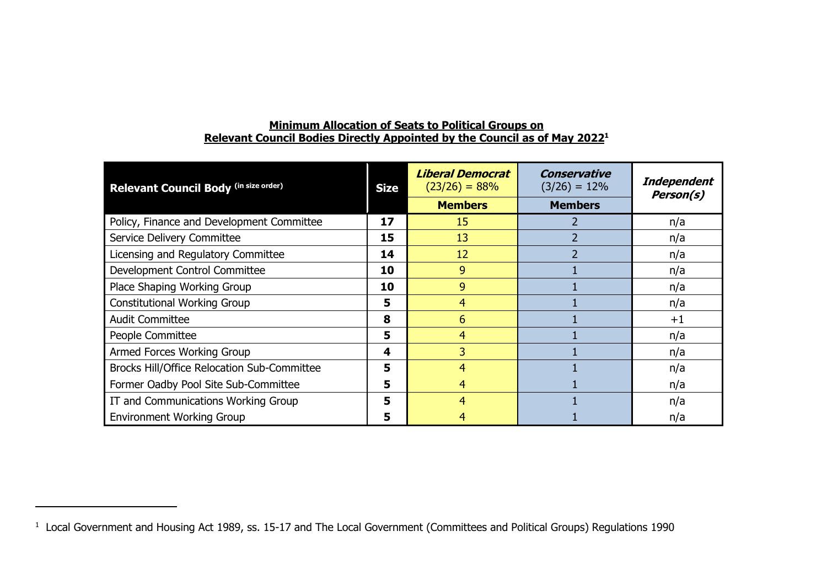| Relevant Council Body (in size order)       | <b>Size</b> | <b>Liberal Democrat</b><br>$(23/26) = 88%$<br><b>Members</b> | <b>Conservative</b><br>$(3/26) = 12\%$<br><b>Members</b> | Independent<br>Person(s) |
|---------------------------------------------|-------------|--------------------------------------------------------------|----------------------------------------------------------|--------------------------|
| Policy, Finance and Development Committee   | 17          | 15                                                           |                                                          | n/a                      |
| Service Delivery Committee                  | 15          | 13                                                           |                                                          | n/a                      |
| Licensing and Regulatory Committee          | 14          | 12                                                           |                                                          | n/a                      |
| Development Control Committee               | 10          | 9                                                            |                                                          | n/a                      |
| Place Shaping Working Group                 | 10          | 9                                                            |                                                          | n/a                      |
| <b>Constitutional Working Group</b>         | 5           | 4                                                            |                                                          | n/a                      |
| <b>Audit Committee</b>                      | 8           | 6                                                            |                                                          | $^{\mathrm {+1}}$        |
| People Committee                            | 5           | 4                                                            |                                                          | n/a                      |
| Armed Forces Working Group                  | 4           | 3                                                            |                                                          | n/a                      |
| Brocks Hill/Office Relocation Sub-Committee | 5           | 4                                                            |                                                          | n/a                      |
| Former Oadby Pool Site Sub-Committee        | 5           | 4                                                            |                                                          | n/a                      |
| IT and Communications Working Group         | 5           | 4                                                            |                                                          | n/a                      |
| <b>Environment Working Group</b>            | 5           | 4                                                            |                                                          | n/a                      |

## **Minimum Allocation of Seats to Political Groups on Relevant Council Bodies Directly Appointed by the Council as of May 2022 1**

<sup>1</sup> Local Government and Housing Act 1989, ss. 15-17 and The Local Government (Committees and Political Groups) Regulations 1990